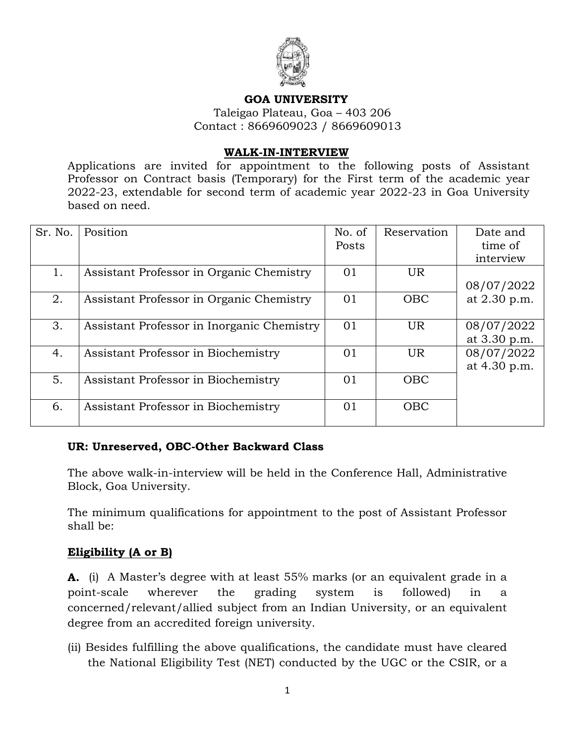

#### **GOA UNIVERSITY**

 Taleigao Plateau, Goa – 403 206 Contact : 8669609023 / 8669609013

#### **WALK-IN-INTERVIEW**

Applications are invited for appointment to the following posts of Assistant Professor on Contract basis (Temporary) for the First term of the academic year 2022-23, extendable for second term of academic year 2022-23 in Goa University based on need.

| Sr. No. | Position                                   | No. of<br>Posts | Reservation | Date and<br>time of<br>interview |
|---------|--------------------------------------------|-----------------|-------------|----------------------------------|
| 1.      | Assistant Professor in Organic Chemistry   | 01              | UR.         | 08/07/2022                       |
| 2.      | Assistant Professor in Organic Chemistry   | 01              | <b>OBC</b>  | at 2.30 p.m.                     |
| 3.      | Assistant Professor in Inorganic Chemistry | 01              | UR.         | 08/07/2022<br>at 3.30 p.m.       |
| 4.      | Assistant Professor in Biochemistry        | 01              | UR.         | 08/07/2022<br>at 4.30 p.m.       |
| 5.      | Assistant Professor in Biochemistry        | 01              | <b>OBC</b>  |                                  |
| 6.      | Assistant Professor in Biochemistry        | 01              | <b>OBC</b>  |                                  |

### **UR: Unreserved, OBC-Other Backward Class**

The above walk-in-interview will be held in the Conference Hall, Administrative Block, Goa University.

The minimum qualifications for appointment to the post of Assistant Professor shall be:

### **Eligibility (A or B)**

**A.** (i) A Master's degree with at least 55% marks (or an equivalent grade in a point-scale wherever the grading system is followed) in a concerned/relevant/allied subject from an Indian University, or an equivalent degree from an accredited foreign university.

(ii) Besides fulfilling the above qualifications, the candidate must have cleared the National Eligibility Test (NET) conducted by the UGC or the CSIR, or a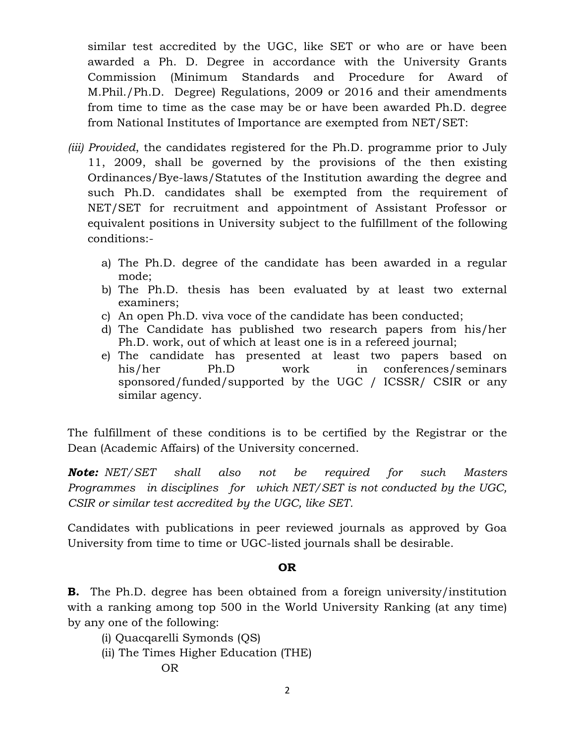similar test accredited by the UGC, like SET or who are or have been awarded a Ph. D*.* Degree in accordance with the University Grants Commission (Minimum Standards and Procedure for Award of M.Phil./Ph.D. Degree) Regulations, 2009 or 2016 and their amendments from time to time as the case may be or have been awarded Ph.D. degree from National Institutes of Importance are exempted from NET/SET:

- *(iii) Provided*, the candidates registered for the Ph.D. programme prior to July 11, 2009, shall be governed by the provisions of the then existing Ordinances/Bye-laws/Statutes of the Institution awarding the degree and such Ph.D. candidates shall be exempted from the requirement of NET/SET for recruitment and appointment of Assistant Professor or equivalent positions in University subject to the fulfillment of the following conditions:
	- a) The Ph.D. degree of the candidate has been awarded in a regular mode;
	- b) The Ph.D. thesis has been evaluated by at least two external examiners;
	- c) An open Ph.D. viva voce of the candidate has been conducted;
	- d) The Candidate has published two research papers from his/her Ph.D. work, out of which at least one is in a refereed journal;
	- e) The candidate has presented at least two papers based on his/her Ph.D work in conferences/seminars sponsored/funded/supported by the UGC / ICSSR/ CSIR or any similar agency.

The fulfillment of these conditions is to be certified by the Registrar or the Dean (Academic Affairs) of the University concerned.

*Note: NET/SET shall also not be required for such Masters Programmes in disciplines for which NET/SET is not conducted by the UGC, CSIR or similar test accredited by the UGC, like SET.*

Candidates with publications in peer reviewed journals as approved by Goa University from time to time or UGC-listed journals shall be desirable.

## **OR**

**B.** The Ph.D. degree has been obtained from a foreign university/institution with a ranking among top 500 in the World University Ranking (at any time) by any one of the following:

- (i) Quacqarelli Symonds (QS)
- (ii) The Times Higher Education (THE)